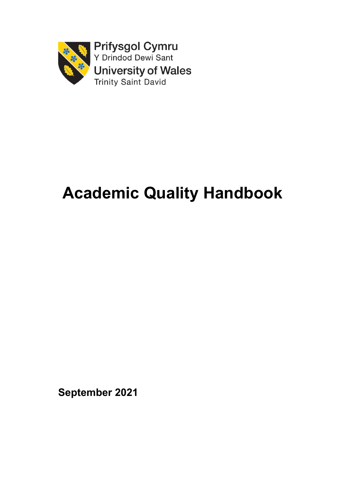

## **Academic Quality Handbook**

**September 2021**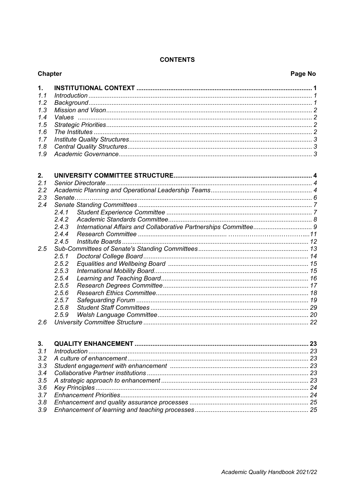## **CONTENTS**

|     | <b>Chapter</b><br>Page No |    |  |
|-----|---------------------------|----|--|
| 1.  |                           |    |  |
| 1.1 |                           |    |  |
| 1.2 |                           |    |  |
| 1.3 |                           |    |  |
| 1.4 | <i>Values</i>             |    |  |
| 1.5 |                           |    |  |
| 1.6 |                           |    |  |
| 1.7 |                           |    |  |
| 1.8 |                           |    |  |
| 1.9 |                           |    |  |
| 2.  |                           |    |  |
| 2.1 |                           |    |  |
| 2.2 |                           |    |  |
| 2.3 |                           |    |  |
| 2.4 |                           |    |  |
|     | 2.4.1                     |    |  |
|     | 2.4.2                     |    |  |
|     | 2.4.3                     |    |  |
|     | 2.4.4                     |    |  |
|     | 2.4.5                     |    |  |
| 2.5 |                           |    |  |
|     | 2.5.1                     |    |  |
|     | 2.5.2                     |    |  |
|     | 2.5.3                     |    |  |
|     | 2.5.4                     |    |  |
|     | 2.5.5                     |    |  |
|     | 2.5.6                     |    |  |
|     | 2.5.7                     |    |  |
|     | 2.5.8                     |    |  |
|     | 2.5.9                     |    |  |
| 2.6 |                           |    |  |
| 3.  |                           | 23 |  |
| 3.1 |                           |    |  |
| 3.2 |                           |    |  |
| 3.3 |                           |    |  |
| 3.4 |                           |    |  |
| 3.5 |                           |    |  |

 $3.7$  $3.8$  $3.9$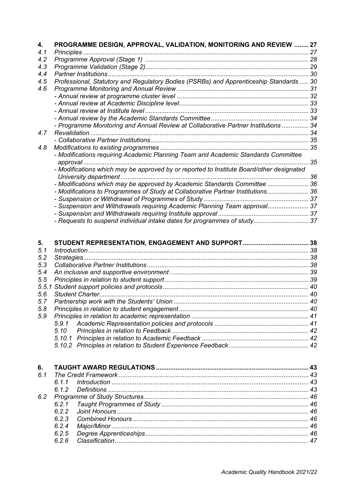| 4.<br>4.1 | PROGRAMME DESIGN, APPROVAL, VALIDATION, MONITORING AND REVIEW  27                        |    |
|-----------|------------------------------------------------------------------------------------------|----|
| 4.2       |                                                                                          |    |
| 4.3       |                                                                                          |    |
| 4.4       |                                                                                          |    |
| 4.5       | Professional, Statutory and Regulatory Bodies (PSRBs) and Apprenticeship Standards  30   |    |
| 4.6       |                                                                                          |    |
|           |                                                                                          |    |
|           |                                                                                          |    |
|           |                                                                                          |    |
|           |                                                                                          |    |
|           | - Programme Monitoring and Annual Review at Collaborative Partner Institutions  34       |    |
| 4.7       |                                                                                          |    |
|           |                                                                                          |    |
| 4.8       |                                                                                          |    |
|           | - Modifications requiring Academic Planning Team and Academic Standards Committee        |    |
|           |                                                                                          | 35 |
|           | - Modifications which may be approved by or reported to Institute Board/other designated |    |
|           |                                                                                          |    |
|           | - Modifications which may be approved by Academic Standards Committee  36                |    |
|           | - Modifications to Programmes of Study at Collaborative Partner Institutions 36          |    |
|           |                                                                                          |    |
|           | - Suspension and Withdrawals requiring Academic Planning Team approval 37                |    |
|           |                                                                                          |    |
|           | - Requests to suspend individual intake dates for programmes of study 37                 |    |
|           |                                                                                          |    |
|           |                                                                                          |    |
| 5.        |                                                                                          |    |
| 5.1       |                                                                                          |    |
| 5.2       |                                                                                          |    |
| 5.3       |                                                                                          |    |
| 5.4       |                                                                                          |    |
| 5.5       |                                                                                          |    |
| 5.5.1     |                                                                                          |    |

| 6.  |     |  |
|-----|-----|--|
| 61  |     |  |
|     | 611 |  |
|     |     |  |
| 6.2 |     |  |
|     |     |  |
|     | 622 |  |
|     | 623 |  |
|     | 624 |  |
|     | 625 |  |
|     | 626 |  |
|     |     |  |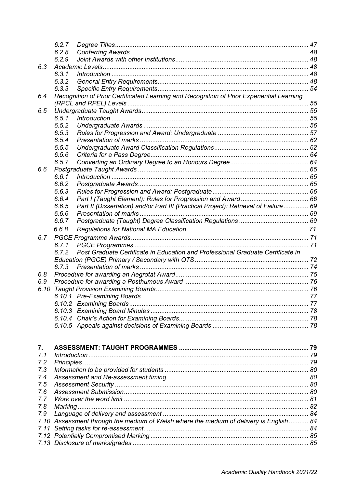|            | 6.2.7 |                                                                                           |  |
|------------|-------|-------------------------------------------------------------------------------------------|--|
|            | 6.2.8 |                                                                                           |  |
|            | 6.2.9 |                                                                                           |  |
| 6.3        |       |                                                                                           |  |
|            | 6.3.1 |                                                                                           |  |
|            | 6.3.2 |                                                                                           |  |
|            | 6.3.3 |                                                                                           |  |
| 6.4        |       | Recognition of Prior Certificated Learning and Recognition of Prior Experiential Learning |  |
| 6.5        |       |                                                                                           |  |
|            | 6.5.1 |                                                                                           |  |
|            | 6.5.2 |                                                                                           |  |
|            | 6.5.3 |                                                                                           |  |
|            | 6.5.4 |                                                                                           |  |
|            | 6.5.5 |                                                                                           |  |
|            | 6.5.6 |                                                                                           |  |
|            | 6.5.7 |                                                                                           |  |
| 6.6        |       |                                                                                           |  |
|            | 6.6.1 |                                                                                           |  |
|            | 6.6.2 |                                                                                           |  |
|            | 6.6.3 |                                                                                           |  |
|            | 6.6.4 |                                                                                           |  |
|            | 6.6.5 | Part II (Dissertation) and/or Part III (Practical Project): Retrieval of Failure 69       |  |
|            | 6.6.6 |                                                                                           |  |
|            | 6.6.7 |                                                                                           |  |
|            | 6.6.8 |                                                                                           |  |
| 6.7        |       |                                                                                           |  |
|            | 6.7.1 |                                                                                           |  |
|            | 6.7.2 | Post Graduate Certificate in Education and Professional Graduate Certificate in           |  |
|            |       |                                                                                           |  |
| 6.8        | 6.7.3 |                                                                                           |  |
| 6.9        |       |                                                                                           |  |
| 6.10       |       |                                                                                           |  |
|            |       |                                                                                           |  |
|            |       |                                                                                           |  |
|            |       |                                                                                           |  |
|            |       |                                                                                           |  |
|            |       |                                                                                           |  |
|            |       |                                                                                           |  |
|            |       |                                                                                           |  |
| 7.         |       |                                                                                           |  |
| 7.1<br>7.2 |       |                                                                                           |  |
|            |       |                                                                                           |  |
|            |       |                                                                                           |  |
| 7.3        |       |                                                                                           |  |
| 7.4        |       |                                                                                           |  |
| 7.5        |       |                                                                                           |  |
| 7.6        |       |                                                                                           |  |
| 7.7        |       |                                                                                           |  |
| 7.8<br>7.9 |       |                                                                                           |  |
|            |       | 7.10 Assessment through the medium of Welsh where the medium of delivery is English 84    |  |
| 7.11       |       |                                                                                           |  |
|            |       |                                                                                           |  |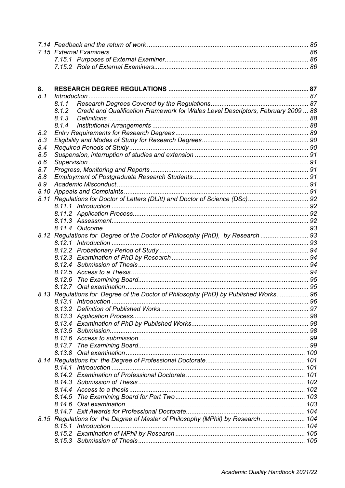| 8.   |       |                                                                                   |  |
|------|-------|-----------------------------------------------------------------------------------|--|
| 8.1  |       |                                                                                   |  |
|      | 8.1.1 |                                                                                   |  |
|      | 8.1.2 | Credit and Qualification Framework for Wales Level Descriptors, February 2009  88 |  |
|      | 8.1.3 |                                                                                   |  |
|      | 8.1.4 |                                                                                   |  |
| 8.2  |       |                                                                                   |  |
| 8.3  |       |                                                                                   |  |
| 8.4  |       |                                                                                   |  |
| 8.5  |       |                                                                                   |  |
| 8.6  |       |                                                                                   |  |
| 8.7  |       |                                                                                   |  |
| 8.8  |       |                                                                                   |  |
| 8.9  |       |                                                                                   |  |
| 8.10 |       |                                                                                   |  |
| 8.11 |       |                                                                                   |  |
|      |       |                                                                                   |  |
|      |       |                                                                                   |  |
|      |       |                                                                                   |  |
|      |       |                                                                                   |  |
|      |       | 8.12 Regulations for Degree of the Doctor of Philosophy (PhD), by Research  93    |  |
|      |       |                                                                                   |  |
|      |       |                                                                                   |  |
|      |       |                                                                                   |  |
|      |       |                                                                                   |  |
|      |       |                                                                                   |  |
|      |       |                                                                                   |  |
|      |       |                                                                                   |  |
| 8.13 |       | Regulations for Degree of the Doctor of Philosophy (PhD) by Published Works 96    |  |
|      |       |                                                                                   |  |
|      |       |                                                                                   |  |
|      |       |                                                                                   |  |
|      |       |                                                                                   |  |
|      |       |                                                                                   |  |
|      |       |                                                                                   |  |
|      |       |                                                                                   |  |
|      |       |                                                                                   |  |
|      |       |                                                                                   |  |
|      |       |                                                                                   |  |
|      |       |                                                                                   |  |
|      |       |                                                                                   |  |
|      |       |                                                                                   |  |
|      |       |                                                                                   |  |
|      |       |                                                                                   |  |
|      |       |                                                                                   |  |
|      |       | 8.15 Regulations for the Degree of Master of Philosophy (MPhil) by Research 104   |  |
|      |       |                                                                                   |  |
|      |       |                                                                                   |  |
|      |       |                                                                                   |  |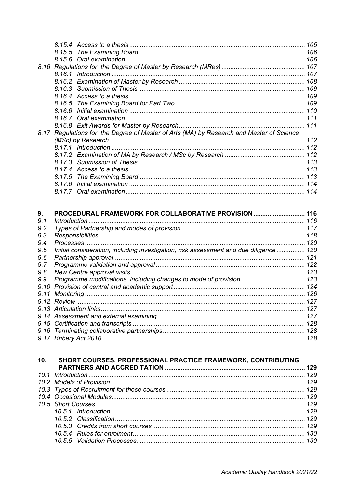|  | 8.17 Regulations for the Degree of Master of Arts (MA) by Research and Master of Science |  |
|--|------------------------------------------------------------------------------------------|--|
|  |                                                                                          |  |
|  |                                                                                          |  |
|  |                                                                                          |  |
|  |                                                                                          |  |
|  |                                                                                          |  |
|  |                                                                                          |  |
|  |                                                                                          |  |
|  |                                                                                          |  |

| 9.  | PROCEDURAL FRAMEWORK FOR COLLABORATIVE PROVISION                                       | 116 |
|-----|----------------------------------------------------------------------------------------|-----|
| 9.1 | Introduction                                                                           | 116 |
| 9.2 |                                                                                        | 117 |
| 9.3 |                                                                                        | 118 |
| 9.4 |                                                                                        | 120 |
| 9.5 | Initial consideration, including investigation, risk assessment and due diligence  120 |     |
| 9.6 |                                                                                        | 121 |
| 9.7 |                                                                                        | 122 |
| 9.8 |                                                                                        | 123 |
| 9.9 |                                                                                        |     |
|     |                                                                                        |     |
|     |                                                                                        | 126 |
|     |                                                                                        | 127 |
|     |                                                                                        | 127 |
|     |                                                                                        | 127 |
|     |                                                                                        | 128 |
|     |                                                                                        | 128 |
|     |                                                                                        | 128 |

## SHORT COURSES, PROFESSIONAL PRACTICE FRAMEWORK, CONTRIBUTING  $10.$